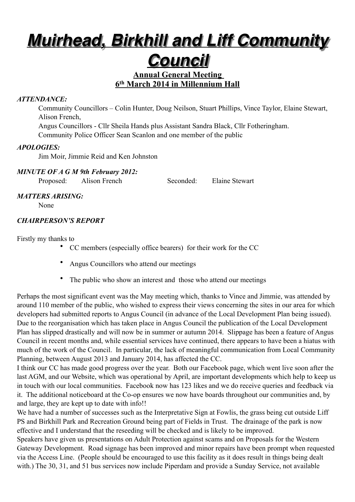# *Muirhead, Birkhill and Liff Community*

## *Council*

#### **Annual General Meeting 6th March 2014 in Millennium Hall**

#### *ATTENDANCE:*

Community Councillors – Colin Hunter, Doug Neilson, Stuart Phillips, Vince Taylor, Elaine Stewart, Alison French,

Angus Councillors - Cllr Sheila Hands plus Assistant Sandra Black, Cllr Fotheringham. Community Police Officer Sean Scanlon and one member of the public

#### *APOLOGIES:*

Jim Moir, Jimmie Reid and Ken Johnston

#### *MINUTE OF A G M 9th February 2012:*

Proposed: Alison French Seconded: Elaine Stewart

#### *MATTERS ARISING:*

None

#### *CHAIRPERSON'S REPORT*

Firstly my thanks to

- CC members (especially office bearers) for their work for the CC
- Angus Councillors who attend our meetings
- The public who show an interest and those who attend our meetings

Perhaps the most significant event was the May meeting which, thanks to Vince and Jimmie, was attended by around 110 member of the public, who wished to express their views concerning the sites in our area for which developers had submitted reports to Angus Council (in advance of the Local Development Plan being issued). Due to the reorganisation which has taken place in Angus Council the publication of the Local Development Plan has slipped drastically and will now be in summer or autumn 2014. Slippage has been a feature of Angus Council in recent months and, while essential services have continued, there appears to have been a hiatus with much of the work of the Council. In particular, the lack of meaningful communication from Local Community Planning, between August 2013 and January 2014, has affected the CC.

I think our CC has made good progress over the year. Both our Facebook page, which went live soon after the last AGM, and our Website, which was operational by April, are important developments which help to keep us in touch with our local communities. Facebook now has 123 likes and we do receive queries and feedback via it. The additional noticeboard at the Co-op ensures we now have boards throughout our communities and, by and large, they are kept up to date with info!!

We have had a number of successes such as the Interpretative Sign at Fowlis, the grass being cut outside Liff PS and Birkhill Park and Recreation Ground being part of Fields in Trust. The drainage of the park is now effective and I understand that the reseeding will be checked and is likely to be improved.

Speakers have given us presentations on Adult Protection against scams and on Proposals for the Western Gateway Development. Road signage has been improved and minor repairs have been prompt when requested via the Access Line. (People should be encouraged to use this facility as it does result in things being dealt with.) The 30, 31, and 51 bus services now include Piperdam and provide a Sunday Service, not available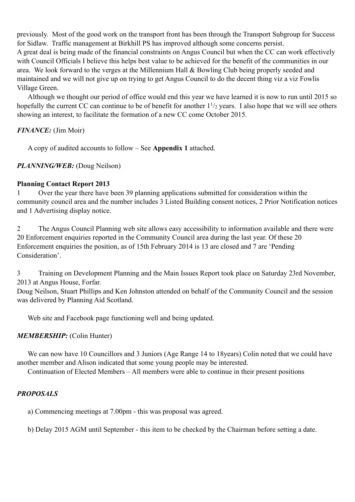previously. Most of the good work on the transport front has been through the Transport Subgroup for Success for Sidlaw. Traffic management at Birkhill PS has improved although some concerns persist. A great deal is being made of the financial constraints on Angus Council but when the CC can work effectively with Council Officials I believe this helps best value to be achieved for the benefit of the communities in our area. We look forward to the verges at the Millennium Hall & Bowling Club being properly seeded and maintained and we will not give up on trying to get Angus Council to do the decent thing viz a viz Fowlis Village Green.

Although we thought our period of office would end this year we have learned it is now to run until 2015 so hopefully the current CC can continue to be of benefit for another  $1\frac{1}{2}$  years. I also hope that we will see others showing an interest, to facilitate the formation of a new CC come October 2015.

#### *FINANCE:* (Jim Moir)

A copy of audited accounts to follow – See **Appendix 1** attached.

#### *PLANNING/WEB:* (Doug Neilson)

#### **Planning Contact Report 2013**

1 Over the year there have been 39 planning applications submitted for consideration within the community council area and the number includes 3 Listed Building consent notices, 2 Prior Notification notices and 1 Advertising display notice.

2 The Angus Council Planning web site allows easy accessibility to information available and there were 20 Enforcement enquiries reported in the Community Council area during the last year. Of these 20 Enforcement enquiries the position, as of 15th February 2014 is 13 are closed and 7 are 'Pending Consideration'.

3 Training on Development Planning and the Main Issues Report took place on Saturday 23rd November, 2013 at Angus House, Forfar.

Doug Neilson, Stuart Phillips and Ken Johnston attended on behalf of the Community Council and the session was delivered by Planning Aid Scotland.

Web site and Facebook page functioning well and being updated.

#### *MEMBERSHIP:* (Colin Hunter)

We can now have 10 Councillors and 3 Juniors (Age Range 14 to 18years) Colin noted that we could have another member and Alison indicated that some young people may be interested.

Continuation of Elected Members – All members were able to continue in their present positions

#### *PROPOSALS*

a) Commencing meetings at 7.00pm - this was proposal was agreed.

b) Delay 2015 AGM until September - this item to be checked by the Chairman before setting a date.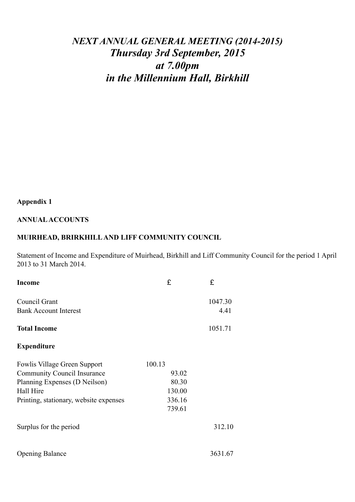## *NEXT ANNUAL GENERAL MEETING (2014-2015) Thursday 3rd September, 2015 at 7.00pm in the Millennium Hall, Birkhill*

### **Appendix 1**

#### **ANNUAL ACCOUNTS**

#### **MUIRHEAD, BRIRKHILL AND LIFF COMMUNITY COUNCIL**

Statement of Income and Expenditure of Muirhead, Birkhill and Liff Community Council for the period 1 April 2013 to 31 March 2014.

| <b>Income</b>                          | £      | £       |
|----------------------------------------|--------|---------|
| Council Grant                          |        | 1047.30 |
| <b>Bank Account Interest</b>           |        | 4.41    |
| <b>Total Income</b>                    |        | 1051.71 |
| <b>Expenditure</b>                     |        |         |
| <b>Fowlis Village Green Support</b>    | 100.13 |         |
| <b>Community Council Insurance</b>     | 93.02  |         |
| Planning Expenses (D Neilson)          | 80.30  |         |
| Hall Hire                              | 130.00 |         |
| Printing, stationary, website expenses | 336.16 |         |
|                                        | 739.61 |         |
| Surplus for the period                 |        | 312.10  |
| <b>Opening Balance</b>                 |        | 3631.67 |